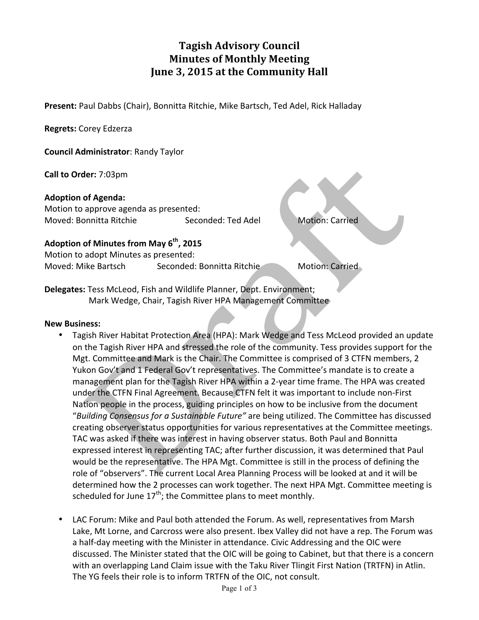# **Tagish Advisory Council Minutes of Monthly Meeting June 3, 2015 at the Community Hall**

**Present:** Paul Dabbs (Chair), Bonnitta Ritchie, Mike Bartsch, Ted Adel, Rick Halladay

**Regrets:** Corey Edzerza

**Council Administrator: Randy Taylor** 

**Call to Order:** 7:03pm

**Adoption of Agenda:**

Motion to approve agenda as presented: Moved: Bonnitta Ritchie Seconded: Ted Adel Motion: Carried

## Adoption of Minutes from May 6<sup>th</sup>, 2015

Motion to adopt Minutes as presented: Moved: Mike Bartsch Seconded: Bonnitta Ritchie Motion: Carried

**Delegates:** Tess McLeod, Fish and Wildlife Planner, Dept. Environment; Mark Wedge, Chair, Tagish River HPA Management Committee

#### **New Business:**

- Tagish River Habitat Protection Area (HPA): Mark Wedge and Tess McLeod provided an update on the Tagish River HPA and stressed the role of the community. Tess provides support for the Mgt. Committee and Mark is the Chair. The Committee is comprised of 3 CTFN members, 2 Yukon Gov't and 1 Federal Gov't representatives. The Committee's mandate is to create a management plan for the Tagish River HPA within a 2-year time frame. The HPA was created under the CTFN Final Agreement. Because CTFN felt it was important to include non-First Nation people in the process, guiding principles on how to be inclusive from the document "Building Consensus for a Sustainable Future" are being utilized. The Committee has discussed creating observer status opportunities for various representatives at the Committee meetings. TAC was asked if there was interest in having observer status. Both Paul and Bonnitta expressed interest in representing TAC; after further discussion, it was determined that Paul would be the representative. The HPA Mgt. Committee is still in the process of defining the role of "observers". The current Local Area Planning Process will be looked at and it will be determined how the 2 processes can work together. The next HPA Mgt. Committee meeting is scheduled for June  $17<sup>th</sup>$ ; the Committee plans to meet monthly.
- LAC Forum: Mike and Paul both attended the Forum. As well, representatives from Marsh Lake, Mt Lorne, and Carcross were also present. Ibex Valley did not have a rep. The Forum was a half-day meeting with the Minister in attendance. Civic Addressing and the OIC were discussed. The Minister stated that the OIC will be going to Cabinet, but that there is a concern with an overlapping Land Claim issue with the Taku River Tlingit First Nation (TRTFN) in Atlin. The YG feels their role is to inform TRTFN of the OIC, not consult.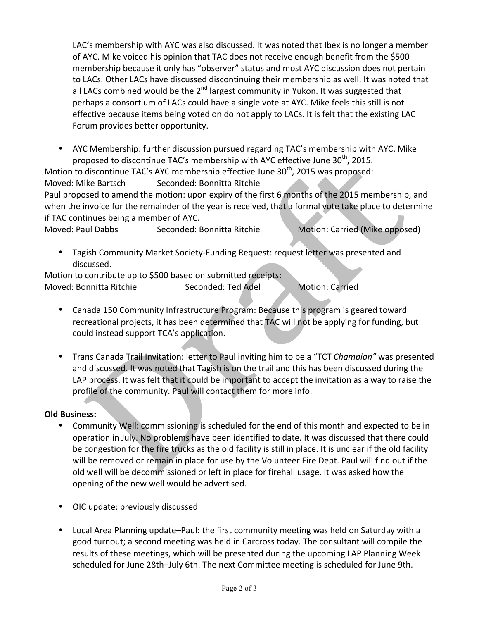LAC's membership with AYC was also discussed. It was noted that Ibex is no longer a member of AYC. Mike voiced his opinion that TAC does not receive enough benefit from the \$500 membership because it only has "observer" status and most AYC discussion does not pertain to LACs. Other LACs have discussed discontinuing their membership as well. It was noted that all LACs combined would be the  $2<sup>nd</sup>$  largest community in Yukon. It was suggested that perhaps a consortium of LACs could have a single vote at AYC. Mike feels this still is not effective because items being voted on do not apply to LACs. It is felt that the existing LAC Forum provides better opportunity.

• AYC Membership: further discussion pursued regarding TAC's membership with AYC. Mike proposed to discontinue TAC's membership with AYC effective June  $30<sup>th</sup>$ , 2015.

Motion to discontinue TAC's AYC membership effective June  $30<sup>th</sup>$ , 2015 was proposed: Moved: Mike Bartsch Seconded: Bonnitta Ritchie

Paul proposed to amend the motion: upon expiry of the first 6 months of the 2015 membership, and when the invoice for the remainder of the year is received, that a formal vote take place to determine if TAC continues being a member of AYC.

Moved: Paul Dabbs Seconded: Bonnitta Ritchie Motion: Carried (Mike opposed)

• Tagish Community Market Society-Funding Request: request letter was presented and discussed.

Motion to contribute up to \$500 based on submitted receipts: Moved: Bonnitta Ritchie Seconded: Ted Adel Motion: Carried

- Canada 150 Community Infrastructure Program: Because this program is geared toward recreational projects, it has been determined that TAC will not be applying for funding, but could instead support TCA's application.
- Trans Canada Trail Invitation: letter to Paul inviting him to be a "TCT *Champion"* was presented and discussed. It was noted that Tagish is on the trail and this has been discussed during the LAP process. It was felt that it could be important to accept the invitation as a way to raise the profile of the community. Paul will contact them for more info.

## **Old Business:**

- Community Well: commissioning is scheduled for the end of this month and expected to be in operation in July. No problems have been identified to date. It was discussed that there could be congestion for the fire trucks as the old facility is still in place. It is unclear if the old facility will be removed or remain in place for use by the Volunteer Fire Dept. Paul will find out if the old well will be decommissioned or left in place for firehall usage. It was asked how the opening of the new well would be advertised.
- OIC update: previously discussed
- Local Area Planning update-Paul: the first community meeting was held on Saturday with a good turnout; a second meeting was held in Carcross today. The consultant will compile the results of these meetings, which will be presented during the upcoming LAP Planning Week scheduled for June 28th-July 6th. The next Committee meeting is scheduled for June 9th.